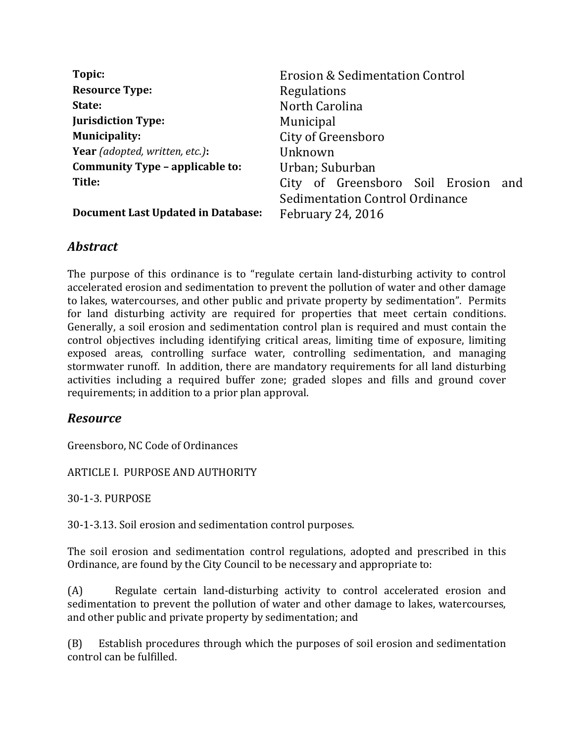| Topic:                                    | <b>Erosion &amp; Sedimentation Control</b> |
|-------------------------------------------|--------------------------------------------|
| <b>Resource Type:</b>                     | Regulations                                |
| State:                                    | North Carolina                             |
| <b>Jurisdiction Type:</b>                 | Municipal                                  |
| <b>Municipality:</b>                      | City of Greensboro                         |
| Year (adopted, written, etc.):            | Unknown                                    |
| Community Type - applicable to:           | Urban; Suburban                            |
| Title:                                    | City of Greensboro Soil Erosion<br>and     |
|                                           | Sedimentation Control Ordinance            |
| <b>Document Last Updated in Database:</b> | <b>February 24, 2016</b>                   |

## *Abstract*

The purpose of this ordinance is to "regulate certain land-disturbing activity to control accelerated erosion and sedimentation to prevent the pollution of water and other damage to lakes, watercourses, and other public and private property by sedimentation". Permits for land disturbing activity are required for properties that meet certain conditions. Generally, a soil erosion and sedimentation control plan is required and must contain the control objectives including identifying critical areas, limiting time of exposure, limiting exposed areas, controlling surface water, controlling sedimentation, and managing stormwater runoff. In addition, there are mandatory requirements for all land disturbing activities including a required buffer zone; graded slopes and fills and ground cover requirements; in addition to a prior plan approval.

## *Resource*

Greensboro, NC Code of Ordinances

ARTICLE I. PURPOSE AND AUTHORITY

30-1-3. PURPOSE

30-1-3.13. Soil erosion and sedimentation control purposes.

The soil erosion and sedimentation control regulations, adopted and prescribed in this Ordinance, are found by the City Council to be necessary and appropriate to:

(A) Regulate certain land-disturbing activity to control accelerated erosion and sedimentation to prevent the pollution of water and other damage to lakes, watercourses, and other public and private property by sedimentation; and

(B) Establish procedures through which the purposes of soil erosion and sedimentation control can be fulfilled.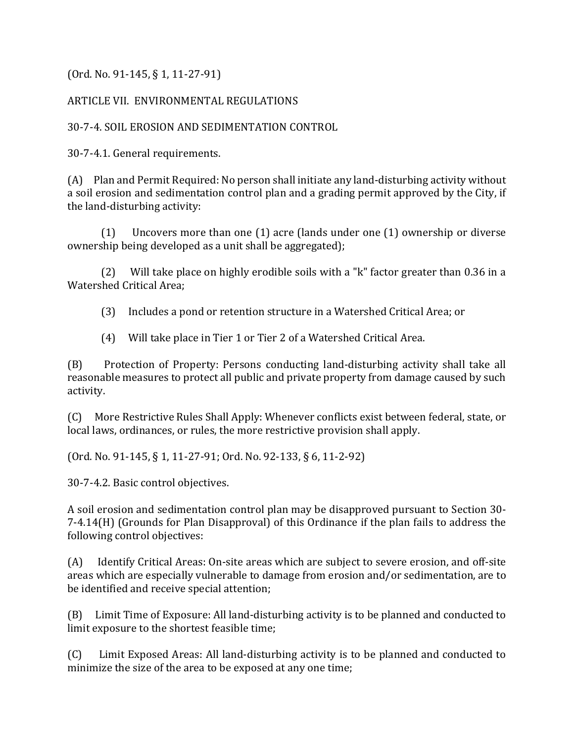(Ord. No. 91-145, § 1, 11-27-91)

## ARTICLE VII. ENVIRONMENTAL REGULATIONS

## 30-7-4. SOIL EROSION AND SEDIMENTATION CONTROL

30-7-4.1. General requirements.

(A) Plan and Permit Required: No person shall initiate any land-disturbing activity without a soil erosion and sedimentation control plan and a grading permit approved by the City, if the land-disturbing activity:

(1) Uncovers more than one (1) acre (lands under one (1) ownership or diverse ownership being developed as a unit shall be aggregated);

(2) Will take place on highly erodible soils with a "k" factor greater than 0.36 in a Watershed Critical Area;

(3) Includes a pond or retention structure in a Watershed Critical Area; or

(4) Will take place in Tier 1 or Tier 2 of a Watershed Critical Area.

(B) Protection of Property: Persons conducting land-disturbing activity shall take all reasonable measures to protect all public and private property from damage caused by such activity.

(C) More Restrictive Rules Shall Apply: Whenever conflicts exist between federal, state, or local laws, ordinances, or rules, the more restrictive provision shall apply.

(Ord. No. 91-145, § 1, 11-27-91; Ord. No. 92-133, § 6, 11-2-92)

30-7-4.2. Basic control objectives.

A soil erosion and sedimentation control plan may be disapproved pursuant to Section 30- 7-4.14(H) (Grounds for Plan Disapproval) of this Ordinance if the plan fails to address the following control objectives:

(A) Identify Critical Areas: On-site areas which are subject to severe erosion, and off-site areas which are especially vulnerable to damage from erosion and/or sedimentation, are to be identified and receive special attention;

(B) Limit Time of Exposure: All land-disturbing activity is to be planned and conducted to limit exposure to the shortest feasible time;

(C) Limit Exposed Areas: All land-disturbing activity is to be planned and conducted to minimize the size of the area to be exposed at any one time;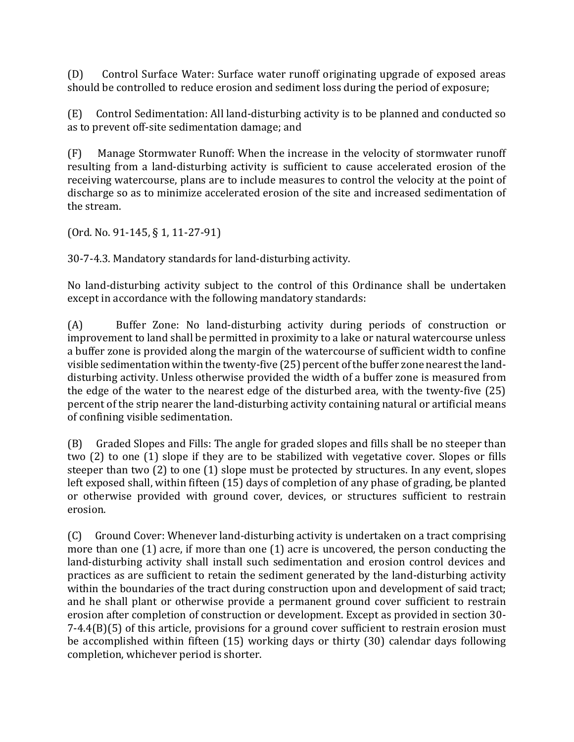(D) Control Surface Water: Surface water runoff originating upgrade of exposed areas should be controlled to reduce erosion and sediment loss during the period of exposure;

(E) Control Sedimentation: All land-disturbing activity is to be planned and conducted so as to prevent off-site sedimentation damage; and

(F) Manage Stormwater Runoff: When the increase in the velocity of stormwater runoff resulting from a land-disturbing activity is sufficient to cause accelerated erosion of the receiving watercourse, plans are to include measures to control the velocity at the point of discharge so as to minimize accelerated erosion of the site and increased sedimentation of the stream.

(Ord. No. 91-145, § 1, 11-27-91)

30-7-4.3. Mandatory standards for land-disturbing activity.

No land-disturbing activity subject to the control of this Ordinance shall be undertaken except in accordance with the following mandatory standards:

(A) Buffer Zone: No land-disturbing activity during periods of construction or improvement to land shall be permitted in proximity to a lake or natural watercourse unless a buffer zone is provided along the margin of the watercourse of sufficient width to confine visible sedimentation within the twenty-five (25) percent of the buffer zone nearest the landdisturbing activity. Unless otherwise provided the width of a buffer zone is measured from the edge of the water to the nearest edge of the disturbed area, with the twenty-five (25) percent of the strip nearer the land-disturbing activity containing natural or artificial means of confining visible sedimentation.

(B) Graded Slopes and Fills: The angle for graded slopes and fills shall be no steeper than two (2) to one (1) slope if they are to be stabilized with vegetative cover. Slopes or fills steeper than two (2) to one (1) slope must be protected by structures. In any event, slopes left exposed shall, within fifteen (15) days of completion of any phase of grading, be planted or otherwise provided with ground cover, devices, or structures sufficient to restrain erosion.

(C) Ground Cover: Whenever land-disturbing activity is undertaken on a tract comprising more than one (1) acre, if more than one (1) acre is uncovered, the person conducting the land-disturbing activity shall install such sedimentation and erosion control devices and practices as are sufficient to retain the sediment generated by the land-disturbing activity within the boundaries of the tract during construction upon and development of said tract; and he shall plant or otherwise provide a permanent ground cover sufficient to restrain erosion after completion of construction or development. Except as provided in section 30- 7-4.4(B)(5) of this article, provisions for a ground cover sufficient to restrain erosion must be accomplished within fifteen (15) working days or thirty (30) calendar days following completion, whichever period is shorter.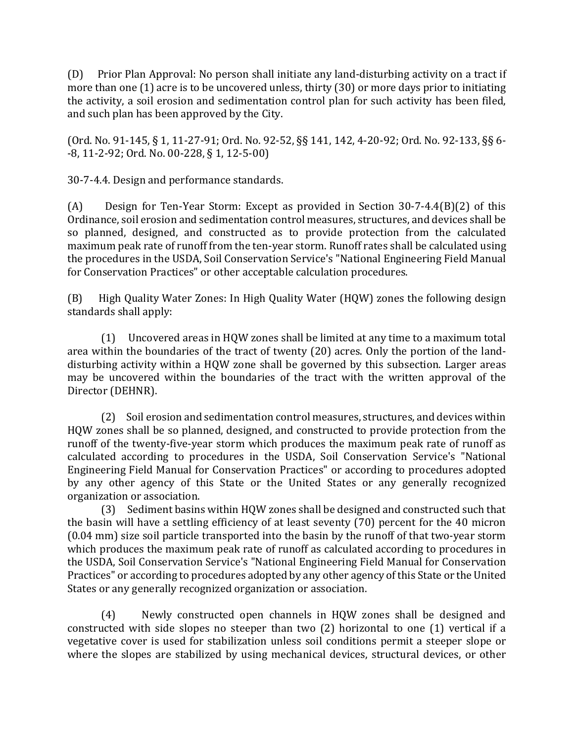(D) Prior Plan Approval: No person shall initiate any land-disturbing activity on a tract if more than one (1) acre is to be uncovered unless, thirty (30) or more days prior to initiating the activity, a soil erosion and sedimentation control plan for such activity has been filed, and such plan has been approved by the City.

(Ord. No. 91-145, § 1, 11-27-91; Ord. No. 92-52, §§ 141, 142, 4-20-92; Ord. No. 92-133, §§ 6- -8, 11-2-92; Ord. No. 00-228, § 1, 12-5-00)

30-7-4.4. Design and performance standards.

(A) Design for Ten-Year Storm: Except as provided in Section 30-7-4.4(B)(2) of this Ordinance, soil erosion and sedimentation control measures, structures, and devices shall be so planned, designed, and constructed as to provide protection from the calculated maximum peak rate of runoff from the ten-year storm. Runoff rates shall be calculated using the procedures in the USDA, Soil Conservation Service's "National Engineering Field Manual for Conservation Practices" or other acceptable calculation procedures.

(B) High Quality Water Zones: In High Quality Water (HQW) zones the following design standards shall apply:

(1) Uncovered areas in HQW zones shall be limited at any time to a maximum total area within the boundaries of the tract of twenty (20) acres. Only the portion of the landdisturbing activity within a HQW zone shall be governed by this subsection. Larger areas may be uncovered within the boundaries of the tract with the written approval of the Director (DEHNR).

(2) Soil erosion and sedimentation control measures, structures, and devices within HQW zones shall be so planned, designed, and constructed to provide protection from the runoff of the twenty-five-year storm which produces the maximum peak rate of runoff as calculated according to procedures in the USDA, Soil Conservation Service's "National Engineering Field Manual for Conservation Practices" or according to procedures adopted by any other agency of this State or the United States or any generally recognized organization or association.

(3) Sediment basins within HQW zones shall be designed and constructed such that the basin will have a settling efficiency of at least seventy (70) percent for the 40 micron (0.04 mm) size soil particle transported into the basin by the runoff of that two-year storm which produces the maximum peak rate of runoff as calculated according to procedures in the USDA, Soil Conservation Service's "National Engineering Field Manual for Conservation Practices" or according to procedures adopted by any other agency of this State or the United States or any generally recognized organization or association.

(4) Newly constructed open channels in HQW zones shall be designed and constructed with side slopes no steeper than two (2) horizontal to one (1) vertical if a vegetative cover is used for stabilization unless soil conditions permit a steeper slope or where the slopes are stabilized by using mechanical devices, structural devices, or other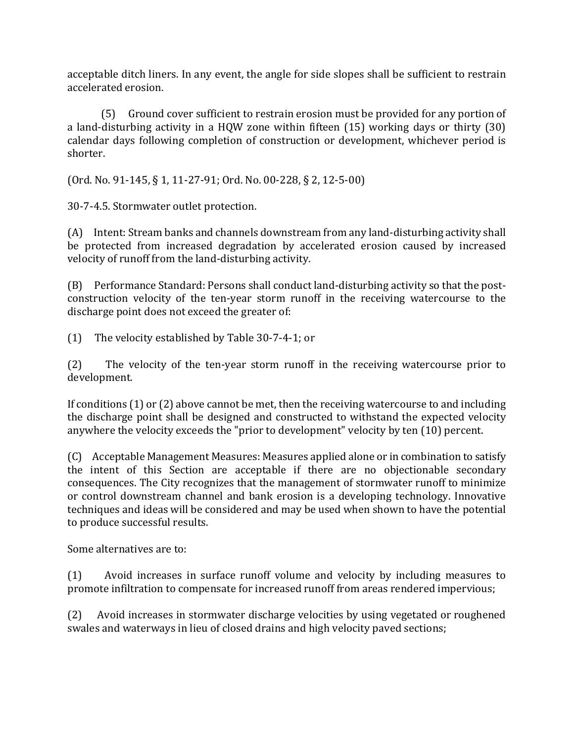acceptable ditch liners. In any event, the angle for side slopes shall be sufficient to restrain accelerated erosion.

(5) Ground cover sufficient to restrain erosion must be provided for any portion of a land-disturbing activity in a HQW zone within fifteen (15) working days or thirty (30) calendar days following completion of construction or development, whichever period is shorter.

(Ord. No. 91-145, § 1, 11-27-91; Ord. No. 00-228, § 2, 12-5-00)

30-7-4.5. Stormwater outlet protection.

(A) Intent: Stream banks and channels downstream from any land-disturbing activity shall be protected from increased degradation by accelerated erosion caused by increased velocity of runoff from the land-disturbing activity.

(B) Performance Standard: Persons shall conduct land-disturbing activity so that the postconstruction velocity of the ten-year storm runoff in the receiving watercourse to the discharge point does not exceed the greater of:

(1) The velocity established by Table 30-7-4-1; or

(2) The velocity of the ten-year storm runoff in the receiving watercourse prior to development.

If conditions (1) or (2) above cannot be met, then the receiving watercourse to and including the discharge point shall be designed and constructed to withstand the expected velocity anywhere the velocity exceeds the "prior to development" velocity by ten (10) percent.

(C) Acceptable Management Measures: Measures applied alone or in combination to satisfy the intent of this Section are acceptable if there are no objectionable secondary consequences. The City recognizes that the management of stormwater runoff to minimize or control downstream channel and bank erosion is a developing technology. Innovative techniques and ideas will be considered and may be used when shown to have the potential to produce successful results.

Some alternatives are to:

(1) Avoid increases in surface runoff volume and velocity by including measures to promote infiltration to compensate for increased runoff from areas rendered impervious;

(2) Avoid increases in stormwater discharge velocities by using vegetated or roughened swales and waterways in lieu of closed drains and high velocity paved sections;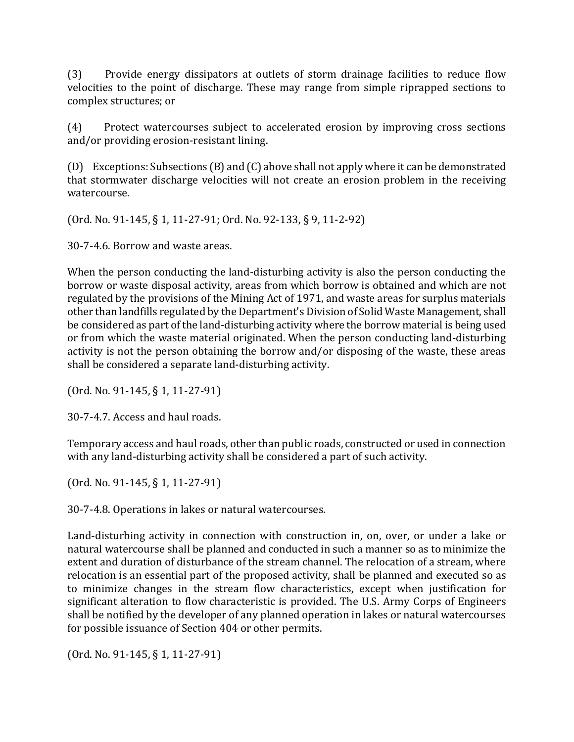(3) Provide energy dissipators at outlets of storm drainage facilities to reduce flow velocities to the point of discharge. These may range from simple riprapped sections to complex structures; or

(4) Protect watercourses subject to accelerated erosion by improving cross sections and/or providing erosion-resistant lining.

(D) Exceptions: Subsections (B) and (C) above shall not apply where it can be demonstrated that stormwater discharge velocities will not create an erosion problem in the receiving watercourse.

(Ord. No. 91-145, § 1, 11-27-91; Ord. No. 92-133, § 9, 11-2-92)

30-7-4.6. Borrow and waste areas.

When the person conducting the land-disturbing activity is also the person conducting the borrow or waste disposal activity, areas from which borrow is obtained and which are not regulated by the provisions of the Mining Act of 1971, and waste areas for surplus materials other than landfills regulated by the Department's Division of Solid Waste Management, shall be considered as part of the land-disturbing activity where the borrow material is being used or from which the waste material originated. When the person conducting land-disturbing activity is not the person obtaining the borrow and/or disposing of the waste, these areas shall be considered a separate land-disturbing activity.

(Ord. No. 91-145, § 1, 11-27-91)

30-7-4.7. Access and haul roads.

Temporary access and haul roads, other than public roads, constructed or used in connection with any land-disturbing activity shall be considered a part of such activity.

(Ord. No. 91-145, § 1, 11-27-91)

30-7-4.8. Operations in lakes or natural watercourses.

Land-disturbing activity in connection with construction in, on, over, or under a lake or natural watercourse shall be planned and conducted in such a manner so as to minimize the extent and duration of disturbance of the stream channel. The relocation of a stream, where relocation is an essential part of the proposed activity, shall be planned and executed so as to minimize changes in the stream flow characteristics, except when justification for significant alteration to flow characteristic is provided. The U.S. Army Corps of Engineers shall be notified by the developer of any planned operation in lakes or natural watercourses for possible issuance of Section 404 or other permits.

(Ord. No. 91-145, § 1, 11-27-91)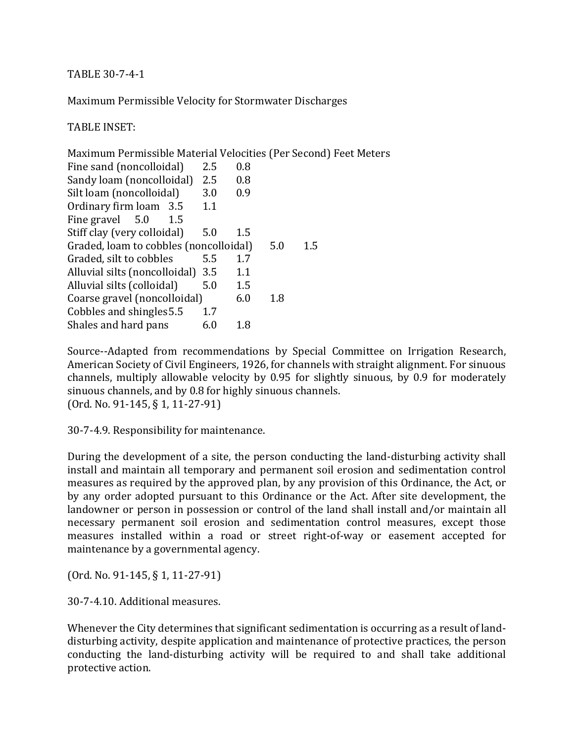TABLE 30-7-4-1

Maximum Permissible Velocity for Stormwater Discharges

TABLE INSET:

Maximum Permissible Material Velocities (Per Second) Feet Meters Fine sand (noncolloidal) 2.5 0.8 Sandy loam (noncolloidal) 2.5 0.8 Silt loam (noncolloidal) 3.0 0.9 Ordinary firm loam 3.5 1.1 Fine gravel 5.0 1.5 Stiff clay (very colloidal) 5.0 1.5 Graded, loam to cobbles (noncolloidal) 5.0 1.5 Graded, silt to cobbles 5.5 1.7 Alluvial silts (noncolloidal) 3.5 1.1 Alluvial silts (colloidal) 5.0 1.5 Coarse gravel (noncolloidal) 6.0 1.8 Cobbles and shingles  $5.5 \qquad 1.7$ Shales and hard pans 6.0 1.8

Source--Adapted from recommendations by Special Committee on Irrigation Research, American Society of Civil Engineers, 1926, for channels with straight alignment. For sinuous channels, multiply allowable velocity by 0.95 for slightly sinuous, by 0.9 for moderately sinuous channels, and by 0.8 for highly sinuous channels. (Ord. No. 91-145, § 1, 11-27-91)

30-7-4.9. Responsibility for maintenance.

During the development of a site, the person conducting the land-disturbing activity shall install and maintain all temporary and permanent soil erosion and sedimentation control measures as required by the approved plan, by any provision of this Ordinance, the Act, or by any order adopted pursuant to this Ordinance or the Act. After site development, the landowner or person in possession or control of the land shall install and/or maintain all necessary permanent soil erosion and sedimentation control measures, except those measures installed within a road or street right-of-way or easement accepted for maintenance by a governmental agency.

(Ord. No. 91-145, § 1, 11-27-91)

30-7-4.10. Additional measures.

Whenever the City determines that significant sedimentation is occurring as a result of landdisturbing activity, despite application and maintenance of protective practices, the person conducting the land-disturbing activity will be required to and shall take additional protective action.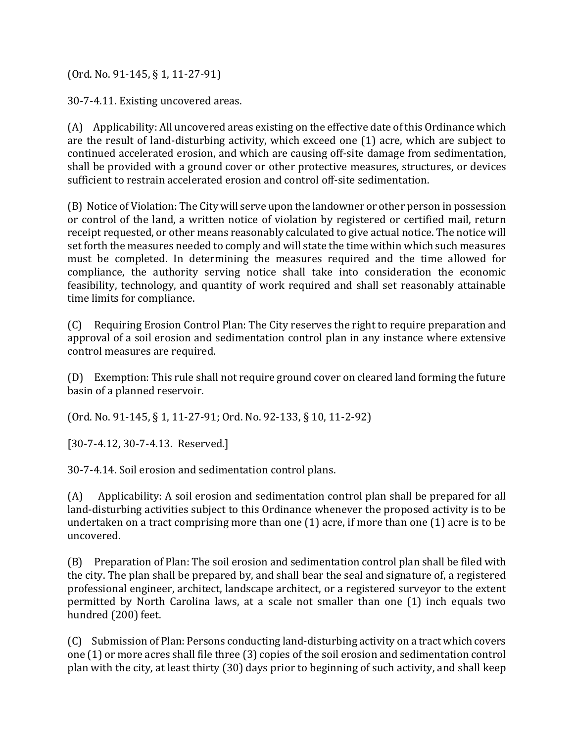(Ord. No. 91-145, § 1, 11-27-91)

30-7-4.11. Existing uncovered areas.

(A) Applicability: All uncovered areas existing on the effective date of this Ordinance which are the result of land-disturbing activity, which exceed one (1) acre, which are subject to continued accelerated erosion, and which are causing off-site damage from sedimentation, shall be provided with a ground cover or other protective measures, structures, or devices sufficient to restrain accelerated erosion and control off-site sedimentation.

(B) Notice of Violation: The City will serve upon the landowner or other person in possession or control of the land, a written notice of violation by registered or certified mail, return receipt requested, or other means reasonably calculated to give actual notice. The notice will set forth the measures needed to comply and will state the time within which such measures must be completed. In determining the measures required and the time allowed for compliance, the authority serving notice shall take into consideration the economic feasibility, technology, and quantity of work required and shall set reasonably attainable time limits for compliance.

(C) Requiring Erosion Control Plan: The City reserves the right to require preparation and approval of a soil erosion and sedimentation control plan in any instance where extensive control measures are required.

(D) Exemption: This rule shall not require ground cover on cleared land forming the future basin of a planned reservoir.

(Ord. No. 91-145, § 1, 11-27-91; Ord. No. 92-133, § 10, 11-2-92)

[30-7-4.12, 30-7-4.13. Reserved.]

30-7-4.14. Soil erosion and sedimentation control plans.

(A) Applicability: A soil erosion and sedimentation control plan shall be prepared for all land-disturbing activities subject to this Ordinance whenever the proposed activity is to be undertaken on a tract comprising more than one (1) acre, if more than one (1) acre is to be uncovered.

(B) Preparation of Plan: The soil erosion and sedimentation control plan shall be filed with the city. The plan shall be prepared by, and shall bear the seal and signature of, a registered professional engineer, architect, landscape architect, or a registered surveyor to the extent permitted by North Carolina laws, at a scale not smaller than one (1) inch equals two hundred (200) feet.

(C) Submission of Plan: Persons conducting land-disturbing activity on a tract which covers one (1) or more acres shall file three (3) copies of the soil erosion and sedimentation control plan with the city, at least thirty (30) days prior to beginning of such activity, and shall keep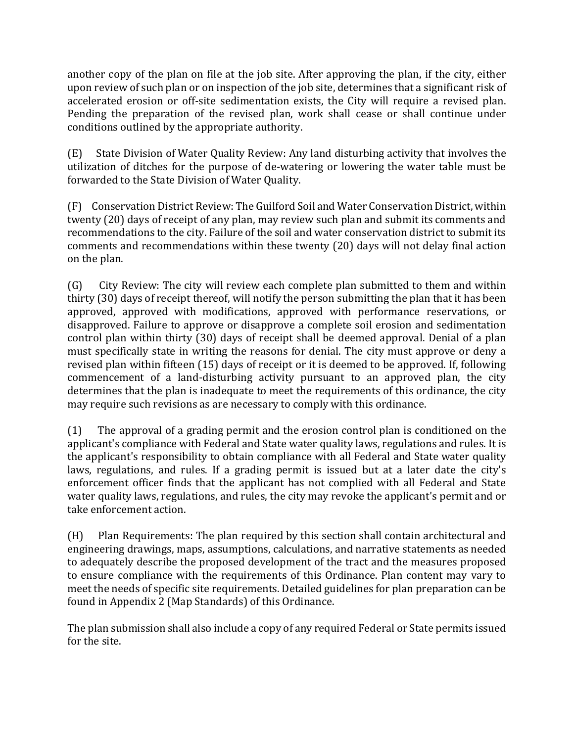another copy of the plan on file at the job site. After approving the plan, if the city, either upon review of such plan or on inspection of the job site, determines that a significant risk of accelerated erosion or off-site sedimentation exists, the City will require a revised plan. Pending the preparation of the revised plan, work shall cease or shall continue under conditions outlined by the appropriate authority.

(E) State Division of Water Quality Review: Any land disturbing activity that involves the utilization of ditches for the purpose of de-watering or lowering the water table must be forwarded to the State Division of Water Quality.

(F) Conservation District Review: The Guilford Soil and Water Conservation District, within twenty (20) days of receipt of any plan, may review such plan and submit its comments and recommendations to the city. Failure of the soil and water conservation district to submit its comments and recommendations within these twenty (20) days will not delay final action on the plan.

(G) City Review: The city will review each complete plan submitted to them and within thirty (30) days of receipt thereof, will notify the person submitting the plan that it has been approved, approved with modifications, approved with performance reservations, or disapproved. Failure to approve or disapprove a complete soil erosion and sedimentation control plan within thirty (30) days of receipt shall be deemed approval. Denial of a plan must specifically state in writing the reasons for denial. The city must approve or deny a revised plan within fifteen (15) days of receipt or it is deemed to be approved. If, following commencement of a land-disturbing activity pursuant to an approved plan, the city determines that the plan is inadequate to meet the requirements of this ordinance, the city may require such revisions as are necessary to comply with this ordinance.

(1) The approval of a grading permit and the erosion control plan is conditioned on the applicant's compliance with Federal and State water quality laws, regulations and rules. It is the applicant's responsibility to obtain compliance with all Federal and State water quality laws, regulations, and rules. If a grading permit is issued but at a later date the city's enforcement officer finds that the applicant has not complied with all Federal and State water quality laws, regulations, and rules, the city may revoke the applicant's permit and or take enforcement action.

(H) Plan Requirements: The plan required by this section shall contain architectural and engineering drawings, maps, assumptions, calculations, and narrative statements as needed to adequately describe the proposed development of the tract and the measures proposed to ensure compliance with the requirements of this Ordinance. Plan content may vary to meet the needs of specific site requirements. Detailed guidelines for plan preparation can be found in Appendix 2 (Map Standards) of this Ordinance.

The plan submission shall also include a copy of any required Federal or State permits issued for the site.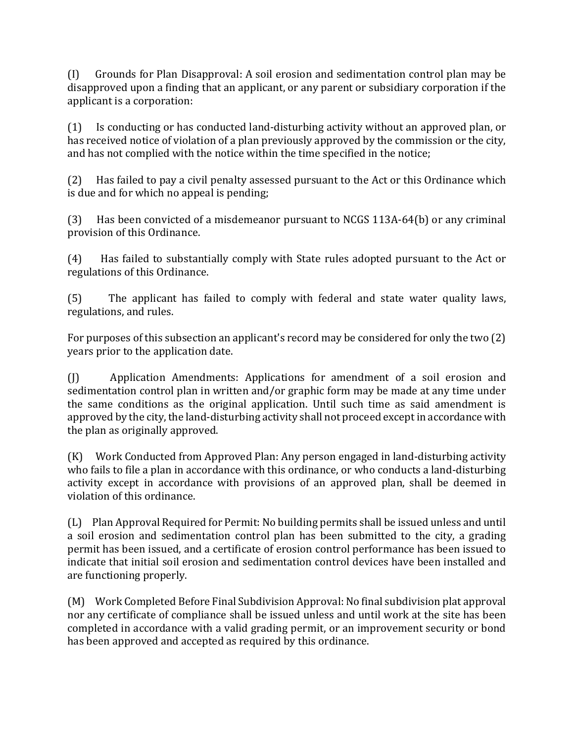(I) Grounds for Plan Disapproval: A soil erosion and sedimentation control plan may be disapproved upon a finding that an applicant, or any parent or subsidiary corporation if the applicant is a corporation:

(1) Is conducting or has conducted land-disturbing activity without an approved plan, or has received notice of violation of a plan previously approved by the commission or the city, and has not complied with the notice within the time specified in the notice;

(2) Has failed to pay a civil penalty assessed pursuant to the Act or this Ordinance which is due and for which no appeal is pending;

(3) Has been convicted of a misdemeanor pursuant to NCGS 113A-64(b) or any criminal provision of this Ordinance.

(4) Has failed to substantially comply with State rules adopted pursuant to the Act or regulations of this Ordinance.

(5) The applicant has failed to comply with federal and state water quality laws, regulations, and rules.

For purposes of this subsection an applicant's record may be considered for only the two (2) years prior to the application date.

(J) Application Amendments: Applications for amendment of a soil erosion and sedimentation control plan in written and/or graphic form may be made at any time under the same conditions as the original application. Until such time as said amendment is approved by the city, the land-disturbing activity shall not proceed except in accordance with the plan as originally approved.

(K) Work Conducted from Approved Plan: Any person engaged in land-disturbing activity who fails to file a plan in accordance with this ordinance, or who conducts a land-disturbing activity except in accordance with provisions of an approved plan, shall be deemed in violation of this ordinance.

(L) Plan Approval Required for Permit: No building permits shall be issued unless and until a soil erosion and sedimentation control plan has been submitted to the city, a grading permit has been issued, and a certificate of erosion control performance has been issued to indicate that initial soil erosion and sedimentation control devices have been installed and are functioning properly.

(M) Work Completed Before Final Subdivision Approval: No final subdivision plat approval nor any certificate of compliance shall be issued unless and until work at the site has been completed in accordance with a valid grading permit, or an improvement security or bond has been approved and accepted as required by this ordinance.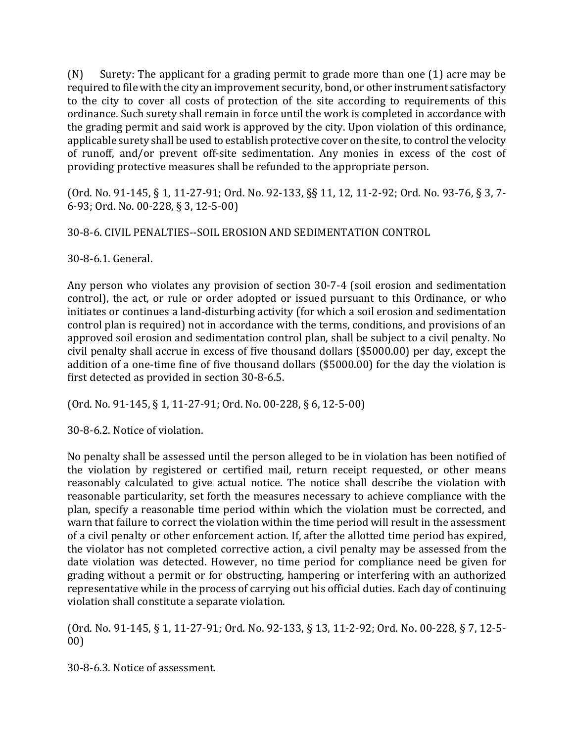(N) Surety: The applicant for a grading permit to grade more than one (1) acre may be required to file with the city an improvement security, bond, or other instrument satisfactory to the city to cover all costs of protection of the site according to requirements of this ordinance. Such surety shall remain in force until the work is completed in accordance with the grading permit and said work is approved by the city. Upon violation of this ordinance, applicable surety shall be used to establish protective cover on the site, to control the velocity of runoff, and/or prevent off-site sedimentation. Any monies in excess of the cost of providing protective measures shall be refunded to the appropriate person.

(Ord. No. 91-145, § 1, 11-27-91; Ord. No. 92-133, §§ 11, 12, 11-2-92; Ord. No. 93-76, § 3, 7- 6-93; Ord. No. 00-228, § 3, 12-5-00)

30-8-6. CIVIL PENALTIES--SOIL EROSION AND SEDIMENTATION CONTROL

30-8-6.1. General.

Any person who violates any provision of section 30-7-4 (soil erosion and sedimentation control), the act, or rule or order adopted or issued pursuant to this Ordinance, or who initiates or continues a land-disturbing activity (for which a soil erosion and sedimentation control plan is required) not in accordance with the terms, conditions, and provisions of an approved soil erosion and sedimentation control plan, shall be subject to a civil penalty. No civil penalty shall accrue in excess of five thousand dollars (\$5000.00) per day, except the addition of a one-time fine of five thousand dollars (\$5000.00) for the day the violation is first detected as provided in section 30-8-6.5.

(Ord. No. 91-145, § 1, 11-27-91; Ord. No. 00-228, § 6, 12-5-00)

30-8-6.2. Notice of violation.

No penalty shall be assessed until the person alleged to be in violation has been notified of the violation by registered or certified mail, return receipt requested, or other means reasonably calculated to give actual notice. The notice shall describe the violation with reasonable particularity, set forth the measures necessary to achieve compliance with the plan, specify a reasonable time period within which the violation must be corrected, and warn that failure to correct the violation within the time period will result in the assessment of a civil penalty or other enforcement action. If, after the allotted time period has expired, the violator has not completed corrective action, a civil penalty may be assessed from the date violation was detected. However, no time period for compliance need be given for grading without a permit or for obstructing, hampering or interfering with an authorized representative while in the process of carrying out his official duties. Each day of continuing violation shall constitute a separate violation.

(Ord. No. 91-145, § 1, 11-27-91; Ord. No. 92-133, § 13, 11-2-92; Ord. No. 00-228, § 7, 12-5- 00)

30-8-6.3. Notice of assessment.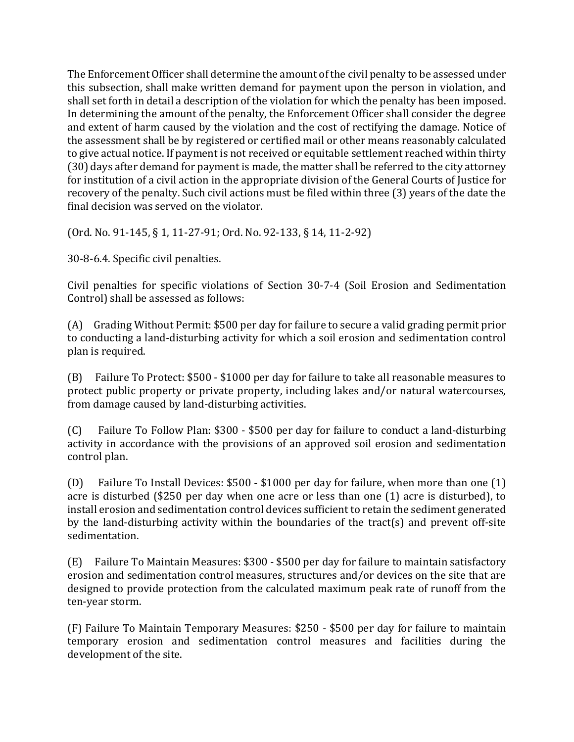The Enforcement Officer shall determine the amount of the civil penalty to be assessed under this subsection, shall make written demand for payment upon the person in violation, and shall set forth in detail a description of the violation for which the penalty has been imposed. In determining the amount of the penalty, the Enforcement Officer shall consider the degree and extent of harm caused by the violation and the cost of rectifying the damage. Notice of the assessment shall be by registered or certified mail or other means reasonably calculated to give actual notice. If payment is not received or equitable settlement reached within thirty (30) days after demand for payment is made, the matter shall be referred to the city attorney for institution of a civil action in the appropriate division of the General Courts of Justice for recovery of the penalty. Such civil actions must be filed within three (3) years of the date the final decision was served on the violator.

(Ord. No. 91-145, § 1, 11-27-91; Ord. No. 92-133, § 14, 11-2-92)

30-8-6.4. Specific civil penalties.

Civil penalties for specific violations of Section 30-7-4 (Soil Erosion and Sedimentation Control) shall be assessed as follows:

(A) Grading Without Permit: \$500 per day for failure to secure a valid grading permit prior to conducting a land-disturbing activity for which a soil erosion and sedimentation control plan is required.

(B) Failure To Protect: \$500 - \$1000 per day for failure to take all reasonable measures to protect public property or private property, including lakes and/or natural watercourses, from damage caused by land-disturbing activities.

(C) Failure To Follow Plan: \$300 - \$500 per day for failure to conduct a land-disturbing activity in accordance with the provisions of an approved soil erosion and sedimentation control plan.

(D) Failure To Install Devices: \$500 - \$1000 per day for failure, when more than one (1) acre is disturbed (\$250 per day when one acre or less than one (1) acre is disturbed), to install erosion and sedimentation control devices sufficient to retain the sediment generated by the land-disturbing activity within the boundaries of the tract(s) and prevent off-site sedimentation.

(E) Failure To Maintain Measures: \$300 - \$500 per day for failure to maintain satisfactory erosion and sedimentation control measures, structures and/or devices on the site that are designed to provide protection from the calculated maximum peak rate of runoff from the ten-year storm.

(F) Failure To Maintain Temporary Measures: \$250 - \$500 per day for failure to maintain temporary erosion and sedimentation control measures and facilities during the development of the site.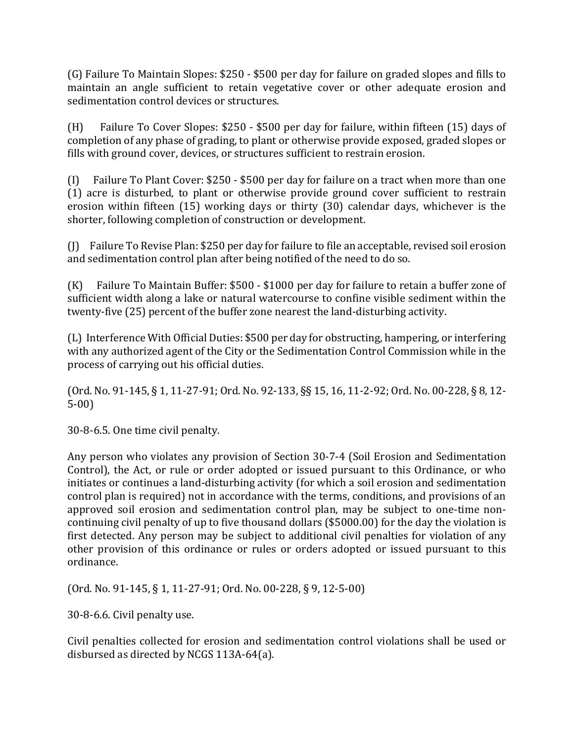(G) Failure To Maintain Slopes: \$250 - \$500 per day for failure on graded slopes and fills to maintain an angle sufficient to retain vegetative cover or other adequate erosion and sedimentation control devices or structures.

(H) Failure To Cover Slopes: \$250 - \$500 per day for failure, within fifteen (15) days of completion of any phase of grading, to plant or otherwise provide exposed, graded slopes or fills with ground cover, devices, or structures sufficient to restrain erosion.

(I) Failure To Plant Cover: \$250 - \$500 per day for failure on a tract when more than one (1) acre is disturbed, to plant or otherwise provide ground cover sufficient to restrain erosion within fifteen (15) working days or thirty (30) calendar days, whichever is the shorter, following completion of construction or development.

(J) Failure To Revise Plan: \$250 per day for failure to file an acceptable, revised soil erosion and sedimentation control plan after being notified of the need to do so.

(K) Failure To Maintain Buffer: \$500 - \$1000 per day for failure to retain a buffer zone of sufficient width along a lake or natural watercourse to confine visible sediment within the twenty-five (25) percent of the buffer zone nearest the land-disturbing activity.

(L) Interference With Official Duties: \$500 per day for obstructing, hampering, or interfering with any authorized agent of the City or the Sedimentation Control Commission while in the process of carrying out his official duties.

(Ord. No. 91-145, § 1, 11-27-91; Ord. No. 92-133, §§ 15, 16, 11-2-92; Ord. No. 00-228, § 8, 12- 5-00)

30-8-6.5. One time civil penalty.

Any person who violates any provision of Section 30-7-4 (Soil Erosion and Sedimentation Control), the Act, or rule or order adopted or issued pursuant to this Ordinance, or who initiates or continues a land-disturbing activity (for which a soil erosion and sedimentation control plan is required) not in accordance with the terms, conditions, and provisions of an approved soil erosion and sedimentation control plan, may be subject to one-time noncontinuing civil penalty of up to five thousand dollars (\$5000.00) for the day the violation is first detected. Any person may be subject to additional civil penalties for violation of any other provision of this ordinance or rules or orders adopted or issued pursuant to this ordinance.

(Ord. No. 91-145, § 1, 11-27-91; Ord. No. 00-228, § 9, 12-5-00)

30-8-6.6. Civil penalty use.

Civil penalties collected for erosion and sedimentation control violations shall be used or disbursed as directed by NCGS 113A-64(a).